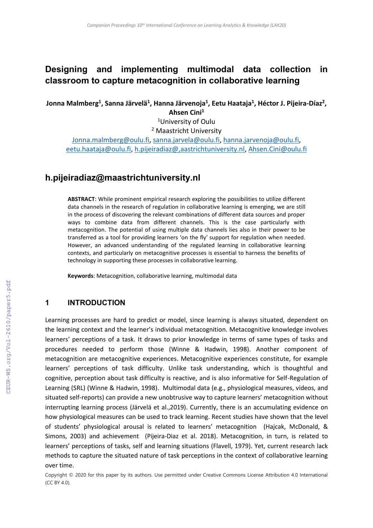# **Designing and implementing multimodal data collection in classroom to capture metacognition in collaborative learning**

<code>Jonna Malmberg<sup>1</sup>, Sanna Järvelä<sup>1</sup>, Hanna Järvenoja<sup>1</sup>, Eetu Haataja<sup>1</sup>, Héctor J. Pijeira-Díaz<sup>2</sup>,</code> **Ahsen Cini<sup>1</sup>**

> <sup>1</sup>University of Oulu <sup>2</sup> Maastricht University

[Jonna.malmberg@oulu.fi,](mailto:Jonna.malmberg@oulu.fi) [sanna.jarvela@oulu.fi,](mailto:sanna.jarvela@oulu.fi) [hanna.jarvenoja@oulu.fi,](mailto:hanna.jarvenoja@oulu.fi) [eetu.haataja@oulu.fi,](mailto:eetu.haataja@oulu.fi) [h.pijeiradiaz@,aastrichtuniversity.nl,](mailto:h.pijeiradiaz@,aastrichtuniversity.nl) [Ahsen.Cini@oulu.fi](mailto:Ahsen.Cini@oulu.fi)

# **h.pijeiradiaz@maastrichtuniversity.nl**

**ABSTRACT**: While prominent empirical research exploring the possibilities to utilize different data channels in the research of regulation in collaborative learning is emerging, we are still in the process of discovering the relevant combinations of different data sources and proper ways to combine data from different channels. This is the case particularly with metacognition. The potential of using multiple data channels lies also in their power to be transferred as a tool for providing learners 'on the fly' support for regulation when needed. However, an advanced understanding of the regulated learning in collaborative learning contexts, and particularly on metacognitive processes is essential to harness the benefits of technology in supporting these processes in collaborative learning.

**Keywords**: Metacognition, collaborative learning, multimodal data

### **1 INTRODUCTION**

Learning processes are hard to predict or model, since learning is always situated, dependent on the learning context and the learner's individual metacognition. Metacognitive knowledge involves learners' perceptions of a task. It draws to prior knowledge in terms of same types of tasks and procedures needed to perform those (Winne & Hadwin, 1998). Another component of metacognition are metacognitive experiences. Metacognitive experiences constitute, for example learners' perceptions of task difficulty. Unlike task understanding, which is thoughtful and cognitive, perception about task difficulty is reactive, and is also informative for Self-Regulation of Learning (SRL) (Winne & Hadwin, 1998). Multimodal data (e.g., physiological measures, videos, and situated self-reports) can provide a new unobtrusive way to capture learners' metacognition without interrupting learning process (Järvelä et al.,2019). Currently, there is an accumulating evidence on how physiological measures can be used to track learning. Recent studies have shown that the level of students' physiological arousal is related to learners' metacognition (Hajcak, McDonald, & Simons, 2003) and achievement (Pijeira-Diaz et al. 2018). Metacognition, in turn, is related to learners' perceptions of tasks, self and learning situations (Flavell, 1979). Yet, current research lack methods to capture the situated nature of task perceptions in the context of collaborative learning over time.

Copyright © 2020 for this paper by its authors. Use permitted under Creative Commons License Attribution 4.0 International (CC BY 4.0).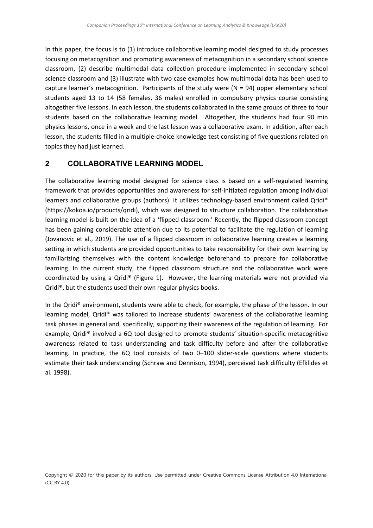In this paper, the focus is to (1) introduce collaborative learning model designed to study processes focusing on metacognition and promoting awareness of metacognition in a secondary school science classroom, (2) describe multimodal data collection procedure implemented in secondary school science classroom and (3) illustrate with two case examples how multimodal data has been used to capture learner's metacognition. Participants of the study were (N = 94) upper elementary school students aged 13 to 14 (58 females, 36 males) enrolled in compulsory physics course consisting altogether five lessons. In each lesson, the students collaborated in the same groups of three to four students based on the collaborative learning model. Altogether, the students had four 90 min physics lessons, once in a week and the last lesson was a collaborative exam. In addition, after each lesson, the students filled in a multiple-choice knowledge test consisting of five questions related on topics they had just learned.

## **2 COLLABORATIVE LEARNING MODEL**

The collaborative learning model designed for science class is based on a self-regulated learning framework that provides opportunities and awareness for self-initiated regulation among individual learners and collaborative groups (authors). It utilizes technology-based environment called Qridi® (https://kokoa.io/products/qridi), which was designed to structure collaboration. The collaborative learning model is built on the idea of a 'flipped classroom.' Recently, the flipped classroom concept has been gaining considerable attention due to its potential to facilitate the regulation of learning (Jovanovic et al., 2019). The use of a flipped classroom in collaborative learning creates a learning setting in which students are provided opportunities to take responsibility for their own learning by familiarizing themselves with the content knowledge beforehand to prepare for collaborative learning. In the current study, the flipped classroom structure and the collaborative work were coordinated by using a Qridi® (Figure 1). However, the learning materials were not provided via Qridi®, but the students used their own regular physics books.

In the Qridi® environment, students were able to check, for example, the phase of the lesson. In our learning model, Qridi® was tailored to increase students' awareness of the collaborative learning task phases in general and, specifically, supporting their awareness of the regulation of learning. For example, Qridi® involved a 6Q tool designed to promote students' situation-specific metacognitive awareness related to task understanding and task difficulty before and after the collaborative learning. In practice, the 6Q tool consists of two 0–100 slider-scale questions where students estimate their task understanding (Schraw and Dennison, 1994), perceived task difficulty (Efklides et al. 1998).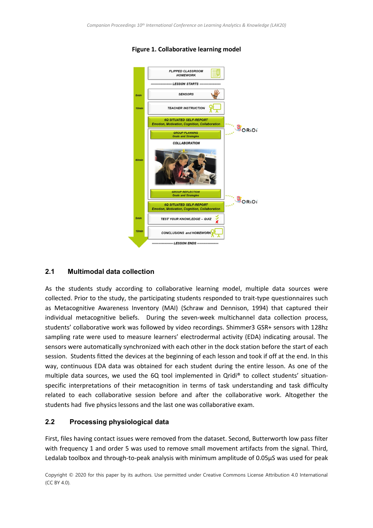

#### **Figure 1. Collaborative learning model**

#### **2.1 Multimodal data collection**

As the students study according to collaborative learning model, multiple data sources were collected. Prior to the study, the participating students responded to trait-type questionnaires such as Metacognitive Awareness Inventory (MAI) (Schraw and Dennison, 1994) that captured their individual metacognitive beliefs. During the seven-week multichannel data collection process, students' collaborative work was followed by video recordings. Shimmer3 GSR+ sensors with 128hz sampling rate were used to measure learners' electrodermal activity (EDA) indicating arousal. The sensors were automatically synchronized with each other in the dock station before the start of each session. Students fitted the devices at the beginning of each lesson and took if off at the end. In this way, continuous EDA data was obtained for each student during the entire lesson. As one of the multiple data sources, we used the 6Q tool implemented in Qridi® to collect students' situationspecific interpretations of their metacognition in terms of task understanding and task difficulty related to each collaborative session before and after the collaborative work. Altogether the students had five physics lessons and the last one was collaborative exam.

#### **2.2 Processing physiological data**

First, files having contact issues were removed from the dataset. Second, Butterworth low pass filter with frequency 1 and order 5 was used to remove small movement artifacts from the signal. Third, Ledalab toolbox and through-to-peak analysis with minimum amplitude of 0.05μS was used for peak

Copyright © 2020 for this paper by its authors. Use permitted under Creative Commons License Attribution 4.0 International (CC BY 4.0).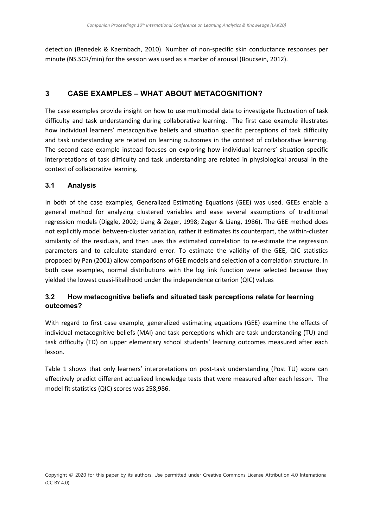detection (Benedek & Kaernbach, 2010). Number of non-specific skin conductance responses per minute (NS.SCR/min) for the session was used as a marker of arousal (Boucsein, 2012).

## **3 CASE EXAMPLES – WHAT ABOUT METACOGNITION?**

The case examples provide insight on how to use multimodal data to investigate fluctuation of task difficulty and task understanding during collaborative learning. The first case example illustrates how individual learners' metacognitive beliefs and situation specific perceptions of task difficulty and task understanding are related on learning outcomes in the context of collaborative learning. The second case example instead focuses on exploring how individual learners' situation specific interpretations of task difficulty and task understanding are related in physiological arousal in the context of collaborative learning.

### **3.1 Analysis**

In both of the case examples, Generalized Estimating Equations (GEE) was used. GEEs enable a general method for analyzing clustered variables and ease several assumptions of traditional regression models (Diggle, 2002; Liang & Zeger, 1998; Zeger & Liang, 1986). The GEE method does not explicitly model between-cluster variation, rather it estimates its counterpart, the within-cluster similarity of the residuals, and then uses this estimated correlation to re-estimate the regression parameters and to calculate standard error. To estimate the validity of the GEE, QIC statistics proposed by Pan (2001) allow comparisons of GEE models and selection of a correlation structure. In both case examples, normal distributions with the log link function were selected because they yielded the lowest quasi-likelihood under the independence criterion (QIC) values

## **3.2 How metacognitive beliefs and situated task perceptions relate for learning outcomes?**

With regard to first case example, generalized estimating equations (GEE) examine the effects of individual metacognitive beliefs (MAI) and task perceptions which are task understanding (TU) and task difficulty (TD) on upper elementary school students' learning outcomes measured after each lesson.

Table 1 shows that only learners' interpretations on post-task understanding (Post TU) score can effectively predict different actualized knowledge tests that were measured after each lesson. The model fit statistics (QIC) scores was 258,986.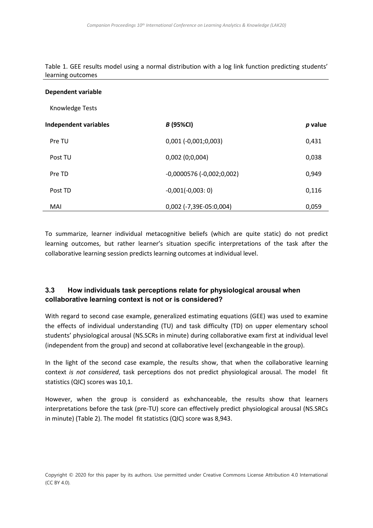Table 1. GEE results model using a normal distribution with a log link function predicting students' learning outcomes

#### **Dependent variable**

Knowledge Tests

| <b>Independent variables</b> |         | <i>B</i> (95%CI)           | p value |
|------------------------------|---------|----------------------------|---------|
|                              | Pre TU  | $0,001 (-0,001;0,003)$     | 0,431   |
|                              | Post TU | 0,002(0,0,004)             | 0,038   |
|                              | Pre TD  | $-0,0000576(-0,002;0,002)$ | 0,949   |
|                              | Post TD | $-0,001(-0,003:0)$         | 0,116   |
|                              | MAI     | 0,002 (-7,39E-05:0,004)    | 0,059   |

To summarize, learner individual metacognitive beliefs (which are quite static) do not predict learning outcomes, but rather learner's situation specific interpretations of the task after the collaborative learning session predicts learning outcomes at individual level.

### **3.3 How individuals task perceptions relate for physiological arousal when collaborative learning context is not or is considered?**

With regard to second case example, generalized estimating equations (GEE) was used to examine the effects of individual understanding (TU) and task difficulty (TD) on upper elementary school students' physiological arousal (NS.SCRs in minute) during collaborative exam first at individual level (independent from the group) and second at collaborative level (exchangeable in the group).

In the light of the second case example, the results show, that when the collaborative learning context *is not considered*, task perceptions dos not predict physiological arousal. The model fit statistics (QIC) scores was 10,1.

However, when the group is considerd as exhchanceable, the results show that learners interpretations before the task (pre-TU) score can effectively predict physiological arousal (NS.SRCs in minute) (Table 2). The model fit statistics (QIC) score was 8,943.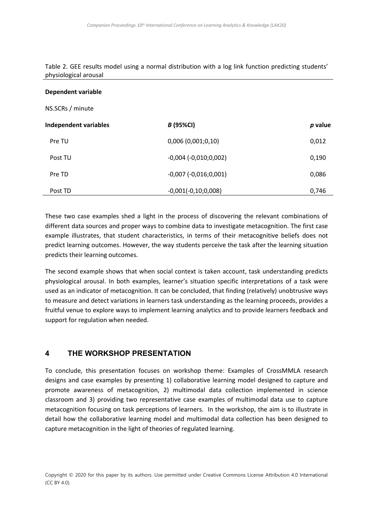Table 2. GEE results model using a normal distribution with a log link function predicting students' physiological arousal

#### **Dependent variable**

NS.SCRs / minute

| Independent variables | <b>B</b> (95%CI)          | p value |
|-----------------------|---------------------------|---------|
| Pre TU                | 0,006(0,001;0,10)         | 0,012   |
| Post TU               | $-0,004$ $(-0,010;0,002)$ | 0,190   |
| Pre TD                | $-0,007$ $(-0,016;0,001)$ | 0,086   |
| Post TD               | $-0,001(-0,10;0,008)$     | 0,746   |

These two case examples shed a light in the process of discovering the relevant combinations of different data sources and proper ways to combine data to investigate metacognition. The first case example illustrates, that student characteristics, in terms of their metacognitive beliefs does not predict learning outcomes. However, the way students perceive the task after the learning situation predicts their learning outcomes.

The second example shows that when social context is taken account, task understanding predicts physiological arousal. In both examples, learner's situation specific interpretations of a task were used as an indicator of metacognition. It can be concluded, that finding (relatively) unobtrusive ways to measure and detect variations in learners task understanding as the learning proceeds, provides a fruitful venue to explore ways to implement learning analytics and to provide learners feedback and support for regulation when needed.

### **4 THE WORKSHOP PRESENTATION**

To conclude, this presentation focuses on workshop theme: Examples of CrossMMLA research designs and case examples by presenting 1) collaborative learning model designed to capture and promote awareness of metacognition, 2) multimodal data collection implemented in science classroom and 3) providing two representative case examples of multimodal data use to capture metacognition focusing on task perceptions of learners. In the workshop, the aim is to illustrate in detail how the collaborative learning model and multimodal data collection has been designed to capture metacognition in the light of theories of regulated learning.